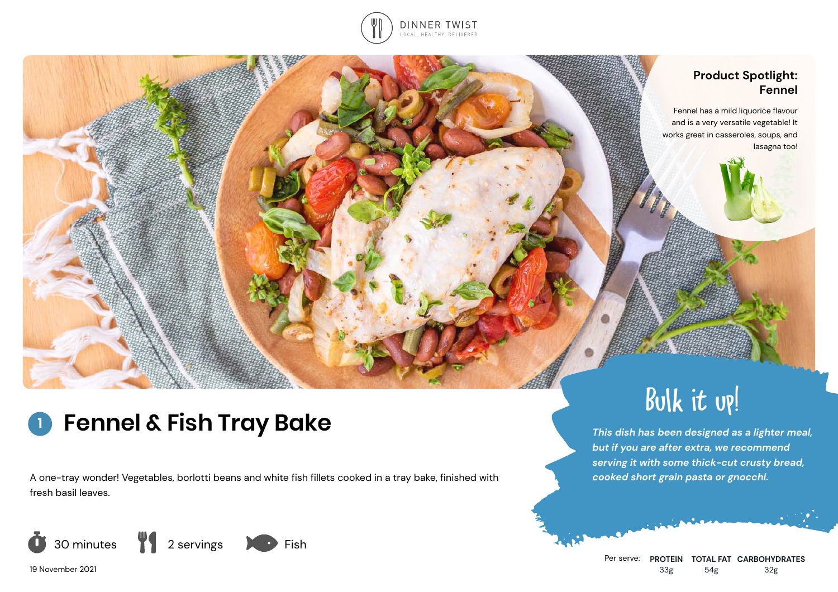

## **Product Spotlight: Fennel**

Fennel has a mild liquorice flavour and is a very versatile vegetable! It works great in casseroles, soups, and lasagna too!

## **Fennel & Fish Tray Bake 1**

A one-tray wonder! Vegetables, borlotti beans and white fish fillets cooked in a tray bake, finished with fresh basil leaves.



19 November 2021

# Bulk it up!

*This dish has been designed as a lighter meal, but if you are after extra, we recommend serving it with some thick-cut crusty bread, cooked short grain pasta or gnocchi.*